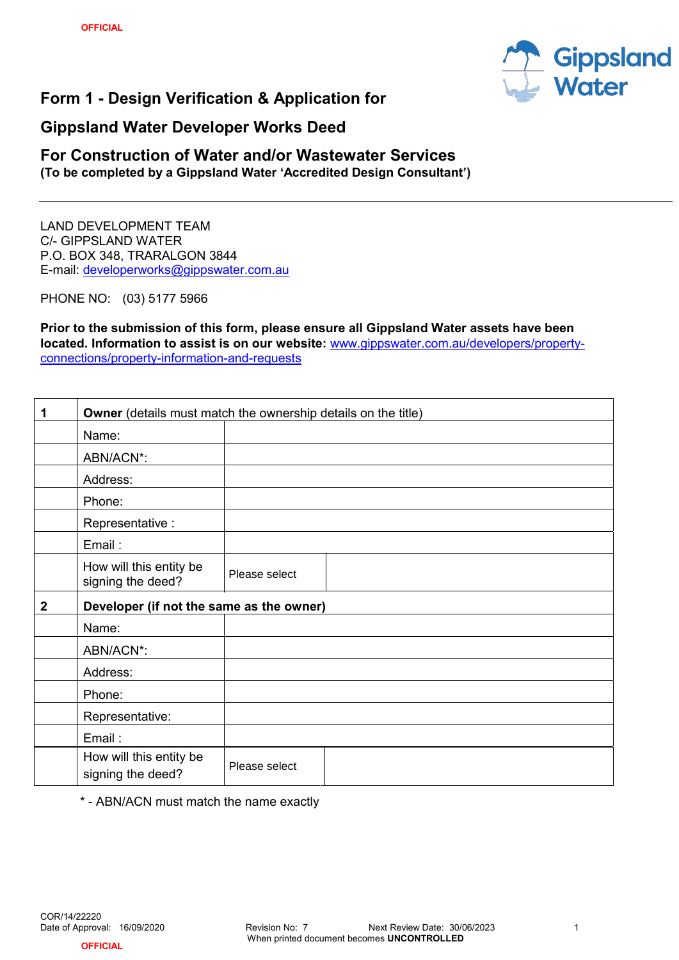

# Form 1 - Design Verification & Application for

## Gippsland Water Developer Works Deed

### For Construction of Water and/or Wastewater Services (To be completed by a Gippsland Water 'Accredited Design Consultant')

LAND DEVELOPMENT TEAM C/- GIPPSLAND WATER P.O. BOX 348, TRARALGON 3844 E-mail: developerworks@gippswater.com.au

PHONE NO: (03) 5177 5966

Prior to the submission of this form, please ensure all Gippsland Water assets have been located. Information to assist is on our website: www.gippswater.com.au/developers/propertyconnections/property-information-and-requests

| $\mathbf 1$      | <b>Owner</b> (details must match the ownership details on the title) |               |  |  |  |
|------------------|----------------------------------------------------------------------|---------------|--|--|--|
|                  | Name:                                                                |               |  |  |  |
|                  | ABN/ACN*:                                                            |               |  |  |  |
|                  | Address:                                                             |               |  |  |  |
|                  | Phone:                                                               |               |  |  |  |
|                  | Representative :                                                     |               |  |  |  |
|                  | Email:                                                               |               |  |  |  |
|                  | How will this entity be<br>signing the deed?                         | Please select |  |  |  |
|                  | Developer (if not the same as the owner)                             |               |  |  |  |
| $\boldsymbol{2}$ |                                                                      |               |  |  |  |
|                  | Name:                                                                |               |  |  |  |
|                  | ABN/ACN*:                                                            |               |  |  |  |
|                  | Address:                                                             |               |  |  |  |
|                  | Phone:                                                               |               |  |  |  |
|                  | Representative:                                                      |               |  |  |  |
|                  | Email:                                                               |               |  |  |  |

\* - ABN/ACN must match the name exactly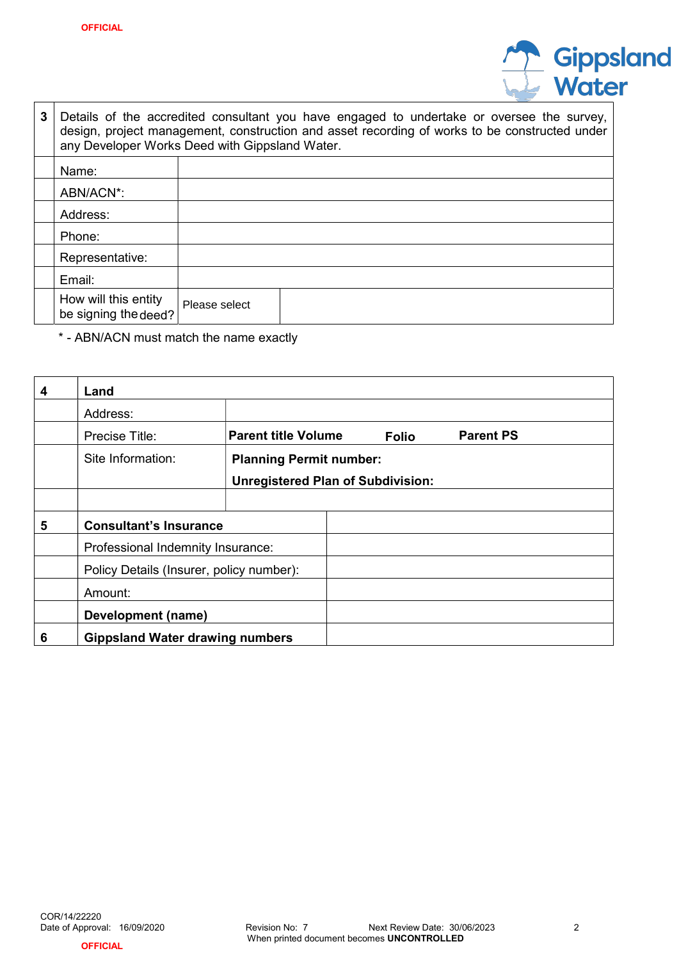

| 3 | Details of the accredited consultant you have engaged to undertake or oversee the survey,<br>design, project management, construction and asset recording of works to be constructed under<br>any Developer Works Deed with Gippsland Water. |               |  |  |  |  |  |
|---|----------------------------------------------------------------------------------------------------------------------------------------------------------------------------------------------------------------------------------------------|---------------|--|--|--|--|--|
|   | Name:                                                                                                                                                                                                                                        |               |  |  |  |  |  |
|   | ABN/ACN*:                                                                                                                                                                                                                                    |               |  |  |  |  |  |
|   | Address:                                                                                                                                                                                                                                     |               |  |  |  |  |  |
|   | Phone:                                                                                                                                                                                                                                       |               |  |  |  |  |  |
|   | Representative:                                                                                                                                                                                                                              |               |  |  |  |  |  |
|   | Email:                                                                                                                                                                                                                                       |               |  |  |  |  |  |
|   | How will this entity<br>be signing the deed?                                                                                                                                                                                                 | Please select |  |  |  |  |  |

\* - ABN/ACN must match the name exactly

| $\boldsymbol{4}$ | Land                                     |                                          |  |              |                  |
|------------------|------------------------------------------|------------------------------------------|--|--------------|------------------|
|                  | Address:                                 |                                          |  |              |                  |
|                  | Precise Title:                           | <b>Parent title Volume</b>               |  | <b>Folio</b> | <b>Parent PS</b> |
|                  | Site Information:                        | <b>Planning Permit number:</b>           |  |              |                  |
|                  |                                          | <b>Unregistered Plan of Subdivision:</b> |  |              |                  |
|                  |                                          |                                          |  |              |                  |
| 5                | <b>Consultant's Insurance</b>            |                                          |  |              |                  |
|                  | Professional Indemnity Insurance:        |                                          |  |              |                  |
|                  | Policy Details (Insurer, policy number): |                                          |  |              |                  |
|                  | Amount:                                  |                                          |  |              |                  |
|                  | Development (name)                       |                                          |  |              |                  |
| 6                | <b>Gippsland Water drawing numbers</b>   |                                          |  |              |                  |